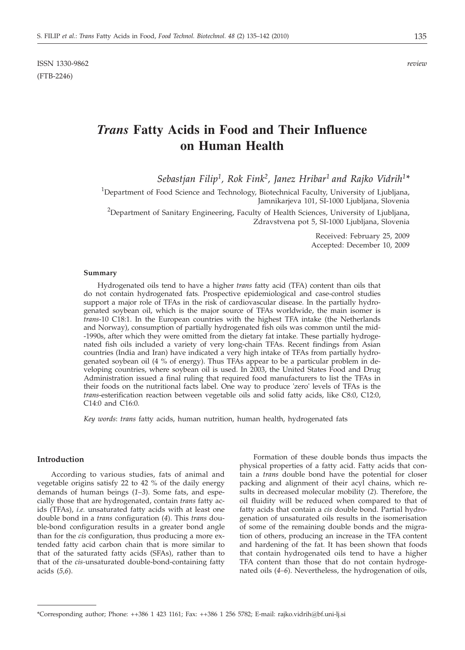ISSN 1330-9862 *review* (FTB-2246)

# *Trans* **Fatty Acids in Food and Their Influence on Human Health**

*Sebastjan Filip1, Rok Fink2, Janez Hribar1 and Rajko Vidrih1\**

<sup>1</sup>Department of Food Science and Technology, Biotechnical Faculty, University of Ljubljana, Jamnikarjeva 101, SI-1000 Ljubljana, Slovenia

<sup>2</sup>Department of Sanitary Engineering, Faculty of Health Sciences, University of Ljubljana, Zdravstvena pot 5, SI-1000 Ljubljana, Slovenia

> Received: February 25, 2009 Accepted: December 10, 2009

#### **Summary**

Hydrogenated oils tend to have a higher *trans* fatty acid (TFA) content than oils that do not contain hydrogenated fats. Prospective epidemiological and case-control studies support a major role of TFAs in the risk of cardiovascular disease. In the partially hydrogenated soybean oil, which is the major source of TFAs worldwide, the main isomer is *trans*-10 C18:1. In the European countries with the highest TFA intake (the Netherlands and Norway), consumption of partially hydrogenated fish oils was common until the mid- -1990s, after which they were omitted from the dietary fat intake. These partially hydrogenated fish oils included a variety of very long-chain TFAs. Recent findings from Asian countries (India and Iran) have indicated a very high intake of TFAs from partially hydrogenated soybean oil (4 % of energy). Thus TFAs appear to be a particular problem in developing countries, where soybean oil is used. In 2003, the United States Food and Drug Administration issued a final ruling that required food manufacturers to list the TFAs in their foods on the nutritional facts label. One way to produce 'zero' levels of TFAs is the *trans*-esterification reaction between vegetable oils and solid fatty acids, like C8:0, C12:0, C14:0 and C16:0.

*Key words*: *trans* fatty acids, human nutrition, human health, hydrogenated fats

#### **Introduction**

According to various studies, fats of animal and vegetable origins satisfy 22 to 42 % of the daily energy demands of human beings (*1–3*). Some fats, and especially those that are hydrogenated, contain *trans* fatty acids (TFAs), *i.e.* unsaturated fatty acids with at least one double bond in a *trans* configuration (*4*). This *trans* double-bond configuration results in a greater bond angle than for the *cis* configuration, thus producing a more extended fatty acid carbon chain that is more similar to that of the saturated fatty acids (SFAs), rather than to that of the *cis-*unsaturated double-bond-containing fatty acids (*5,6*).

Formation of these double bonds thus impacts the physical properties of a fatty acid. Fatty acids that contain a *trans* double bond have the potential for closer packing and alignment of their acyl chains, which results in decreased molecular mobility (*2*). Therefore, the oil fluidity will be reduced when compared to that of fatty acids that contain a *cis* double bond. Partial hydrogenation of unsaturated oils results in the isomerisation of some of the remaining double bonds and the migration of others, producing an increase in the TFA content and hardening of the fat. It has been shown that foods that contain hydrogenated oils tend to have a higher TFA content than those that do not contain hydrogenated oils (*4–6*). Nevertheless, the hydrogenation of oils,

<sup>\*</sup>Corresponding author; Phone: ++386 1 423 1161; Fax: ++386 1 256 5782; E-mail: rajko.vidrih@bf.uni-lj.si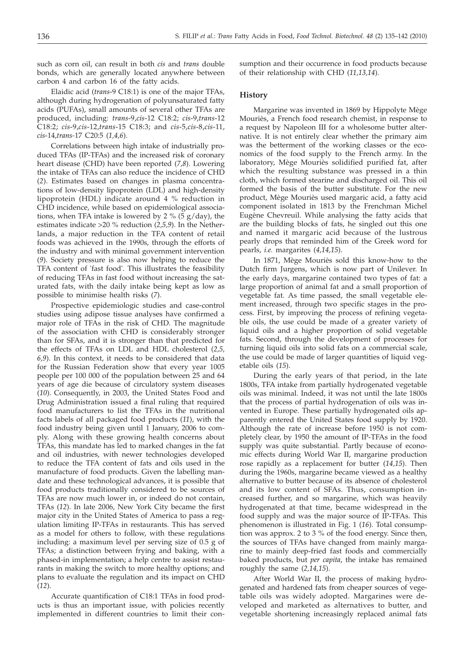such as corn oil, can result in both *cis* and *trans* double bonds, which are generally located anywhere between carbon 4 and carbon 16 of the fatty acids.

Elaidic acid (*trans*-9 C18:1) is one of the major TFAs, although during hydrogenation of polyunsaturated fatty acids (PUFAs), small amounts of several other TFAs are produced, including: *trans*-9,*cis*-12 C18:2; *cis*-9,*trans*-12 C18:2; *cis*-9,*cis*-12,*trans*-15 C18:3; and *cis*-5,*cis*-8,*cis*-11, *cis*-14,*trans-*17 C20:5 (*1,4,6*).

Correlations between high intake of industrially produced TFAs (IP-TFAs) and the increased risk of coronary heart disease (CHD) have been reported (*7,8*). Lowering the intake of TFAs can also reduce the incidence of CHD (*2*). Estimates based on changes in plasma concentrations of low-density lipoprotein (LDL) and high-density lipoprotein (HDL) indicate around  $4\%$  reduction in CHD incidence, while based on epidemiological associations, when TFA intake is lowered by 2 % (5  $g/day$ ), the estimates indicate >20 % reduction (*2,5,9*). In the Netherlands, a major reduction in the TFA content of retail foods was achieved in the 1990s, through the efforts of the industry and with minimal government intervention (*9*). Society pressure is also now helping to reduce the TFA content of 'fast food'. This illustrates the feasibility of reducing TFAs in fast food without increasing the saturated fats, with the daily intake being kept as low as possible to minimise health risks (*7*).

Prospective epidemiologic studies and case-control studies using adipose tissue analyses have confirmed a major role of TFAs in the risk of CHD. The magnitude of the association with CHD is considerably stronger than for SFAs, and it is stronger than that predicted for the effects of TFAs on LDL and HDL cholesterol (*2,5, 6,9*). In this context, it needs to be considered that data for the Russian Federation show that every year 1005 people per 100 000 of the population between 25 and 64 years of age die because of circulatory system diseases (*10*). Consequently, in 2003, the United States Food and Drug Administration issued a final ruling that required food manufacturers to list the TFAs in the nutritional facts labels of all packaged food products (*11*), with the food industry being given until 1 January, 2006 to comply. Along with these growing health concerns about TFAs, this mandate has led to marked changes in the fat and oil industries, with newer technologies developed to reduce the TFA content of fats and oils used in the manufacture of food products. Given the labelling mandate and these technological advances, it is possible that food products traditionally considered to be sources of TFAs are now much lower in, or indeed do not contain, TFAs (*12*). In late 2006, New York City became the first major city in the United States of America to pass a regulation limiting IP-TFAs in restaurants. This has served as a model for others to follow, with these regulations including: a maximum level per serving size of 0.5 g of TFAs; a distinction between frying and baking, with a phased-in implementation; a help centre to assist restaurants in making the switch to more healthy options; and plans to evaluate the regulation and its impact on CHD (*12*).

Accurate quantification of C18:1 TFAs in food products is thus an important issue, with policies recently implemented in different countries to limit their con-

sumption and their occurrence in food products because of their relationship with CHD (*11,13,14*).

#### **History**

Margarine was invented in 1869 by Hippolyte Mège Mouriès, a French food research chemist, in response to a request by Napoleon III for a wholesome butter alternative. It is not entirely clear whether the primary aim was the betterment of the working classes or the economics of the food supply to the French army. In the laboratory, Mège Mouriès solidified purified fat, after which the resulting substance was pressed in a thin cloth, which formed stearine and discharged oil. This oil formed the basis of the butter substitute. For the new product, Mège Mouriès used margaric acid, a fatty acid component isolated in 1813 by the Frenchman Michel Eugène Chevreuil. While analysing the fatty acids that are the building blocks of fats, he singled out this one and named it margaric acid because of the lustrous pearly drops that reminded him of the Greek word for pearls, *i.e.* margarites (*4,14,15*).

In 1871, Mège Mouriès sold this know-how to the Dutch firm Jurgens, which is now part of Unilever. In the early days, margarine contained two types of fat: a large proportion of animal fat and a small proportion of vegetable fat. As time passed, the small vegetable element increased, through two specific stages in the process. First, by improving the process of refining vegetable oils, the use could be made of a greater variety of liquid oils and a higher proportion of solid vegetable fats. Second, through the development of processes for turning liquid oils into solid fats on a commercial scale, the use could be made of larger quantities of liquid vegetable oils (*15*).

During the early years of that period, in the late 1800s, TFA intake from partially hydrogenated vegetable oils was minimal. Indeed, it was not until the late 1800s that the process of partial hydrogenation of oils was invented in Europe. These partially hydrogenated oils apparently entered the United States food supply by 1920. Although the rate of increase before 1950 is not completely clear, by 1950 the amount of IP-TFAs in the food supply was quite substantial. Partly because of economic effects during World War II, margarine production rose rapidly as a replacement for butter (*14,15*). Then during the 1960s, margarine became viewed as a healthy alternative to butter because of its absence of cholesterol and its low content of SFAs. Thus, consumption increased further, and so margarine, which was heavily hydrogenated at that time, became widespread in the food supply and was the major source of IP-TFAs. This phenomenon is illustrated in Fig. 1 (*16*). Total consumption was approx. 2 to 3 % of the food energy. Since then, the sources of TFAs have changed from mainly margarine to mainly deep-fried fast foods and commercially baked products, but *per capita*, the intake has remained roughly the same (*2,14,15*).

After World War II, the process of making hydrogenated and hardened fats from cheaper sources of vegetable oils was widely adopted. Margarines were developed and marketed as alternatives to butter, and vegetable shortening increasingly replaced animal fats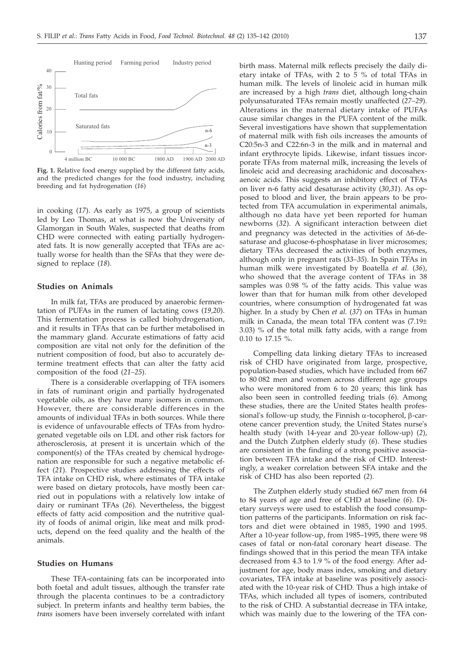

**Fig. 1.** Relative food energy supplied by the different fatty acids, and the predicted changes for the food industry, including breeding and fat hydrogenation (*16*)

in cooking (*17*). As early as 1975, a group of scientists led by Leo Thomas, at what is now the University of Glamorgan in South Wales, suspected that deaths from CHD were connected with eating partially hydrogenated fats. It is now generally accepted that TFAs are actually worse for health than the SFAs that they were designed to replace (*18*).

#### **Studies on Animals**

In milk fat, TFAs are produced by anaerobic fermentation of PUFAs in the rumen of lactating cows (*19,20*). This fermentation process is called biohydrogenation, and it results in TFAs that can be further metabolised in the mammary gland. Accurate estimations of fatty acid composition are vital not only for the definition of the nutrient composition of food, but also to accurately determine treatment effects that can alter the fatty acid composition of the food (*21–25*).

There is a considerable overlapping of TFA isomers in fats of ruminant origin and partially hydrogenated vegetable oils, as they have many isomers in common. However, there are considerable differences in the amounts of individual TFAs in both sources. While there is evidence of unfavourable effects of TFAs from hydrogenated vegetable oils on LDL and other risk factors for atherosclerosis, at present it is uncertain which of the component(s) of the TFAs created by chemical hydrogenation are responsible for such a negative metabolic effect (*21*). Prospective studies addressing the effects of TFA intake on CHD risk, where estimates of TFA intake were based on dietary protocols, have mostly been carried out in populations with a relatively low intake of dairy or ruminant TFAs (*26*). Nevertheless, the biggest effects of fatty acid composition and the nutritive quality of foods of animal origin, like meat and milk products, depend on the feed quality and the health of the animals.

### **Studies on Humans**

These TFA-containing fats can be incorporated into both foetal and adult tissues, although the transfer rate through the placenta continues to be a contradictory subject. In preterm infants and healthy term babies, the *trans* isomers have been inversely correlated with infant birth mass. Maternal milk reflects precisely the daily dietary intake of TFAs, with 2 to 5 % of total TFAs in human milk. The levels of linoleic acid in human milk are increased by a high *trans* diet, although long-chain polyunsaturated TFAs remain mostly unaffected (*27–29*). Alterations in the maternal dietary intake of PUFAs cause similar changes in the PUFA content of the milk. Several investigations have shown that supplementation of maternal milk with fish oils increases the amounts of C20:5n-3 and C22:6n-3 in the milk and in maternal and infant erythrocyte lipids. Likewise, infant tissues incorporate TFAs from maternal milk, increasing the levels of linoleic acid and decreasing arachidonic and docosahexaenoic acids. This suggests an inhibitory effect of TFAs on liver n-6 fatty acid desaturase activity (*30,31*). As opposed to blood and liver, the brain appears to be protected from TFA accumulation in experimental animals, although no data have yet been reported for human newborns (*32*). A significant interaction between diet and pregnancy was detected in the activities of  $\Delta 6$ -desaturase and glucose-6-phosphatase in liver microsomes; dietary TFAs decreased the activities of both enzymes, although only in pregnant rats (*33–35*). In Spain TFAs in human milk were investigated by Boatella *et al.* (*36*), who showed that the average content of TFAs in 38 samples was 0.98 % of the fatty acids. This value was lower than that for human milk from other developed countries, where consumption of hydrogenated fat was higher. In a study by Chen *et al.* (*37*) on TFAs in human milk in Canada, the mean total TFA content was (7.19± 3.03) % of the total milk fatty acids, with a range from 0.10 to 17.15 %.

Compelling data linking dietary TFAs to increased risk of CHD have originated from large, prospective, population-based studies, which have included from 667 to 80 082 men and women across different age groups who were monitored from 6 to 20 years; this link has also been seen in controlled feeding trials (*6*). Among these studies, there are the United States health professional's follow-up study, the Finnish  $\alpha$ -tocopherol,  $\beta$ -carotene cancer prevention study, the United States nurse's health study (with 14-year and 20-year follow-up) (*2*), and the Dutch Zutphen elderly study (*6*). These studies are consistent in the finding of a strong positive association between TFA intake and the risk of CHD. Interestingly, a weaker correlation between SFA intake and the risk of CHD has also been reported (*2*).

The Zutphen elderly study studied 667 men from 64 to 84 years of age and free of CHD at baseline (*6*). Dietary surveys were used to establish the food consumption patterns of the participants. Information on risk factors and diet were obtained in 1985, 1990 and 1995. After a 10-year follow-up, from 1985–1995, there were 98 cases of fatal or non-fatal coronary heart disease. The findings showed that in this period the mean TFA intake decreased from 4.3 to 1.9 % of the food energy. After adjustment for age, body mass index, smoking and dietary covariates, TFA intake at baseline was positively associated with the 10-year risk of CHD. Thus a high intake of TFAs, which included all types of isomers, contributed to the risk of CHD. A substantial decrease in TFA intake, which was mainly due to the lowering of the TFA con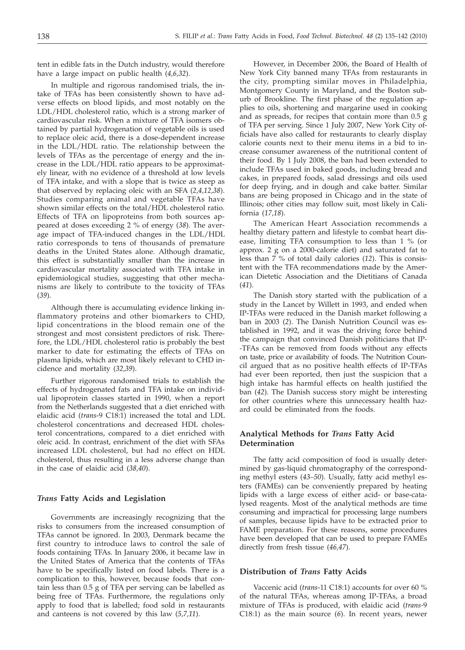tent in edible fats in the Dutch industry, would therefore have a large impact on public health (*4,6,32*).

In multiple and rigorous randomised trials, the intake of TFAs has been consistently shown to have adverse effects on blood lipids, and most notably on the LDL/HDL cholesterol ratio, which is a strong marker of cardiovascular risk. When a mixture of TFA isomers obtained by partial hydrogenation of vegetable oils is used to replace oleic acid, there is a dose-dependent increase in the LDL/HDL ratio. The relationship between the levels of TFAs as the percentage of energy and the increase in the LDL/HDL ratio appears to be approximately linear, with no evidence of a threshold at low levels of TFA intake, and with a slope that is twice as steep as that observed by replacing oleic with an SFA (*2,4,12,38*). Studies comparing animal and vegetable TFAs have shown similar effects on the total/HDL cholesterol ratio. Effects of TFA on lipoproteins from both sources appeared at doses exceeding 2 % of energy (*38*). The average impact of TFA-induced changes in the LDL/HDL ratio corresponds to tens of thousands of premature deaths in the United States alone. Although dramatic, this effect is substantially smaller than the increase in cardiovascular mortality associated with TFA intake in epidemiological studies, suggesting that other mechanisms are likely to contribute to the toxicity of TFAs (*39*).

Although there is accumulating evidence linking inflammatory proteins and other biomarkers to CHD, lipid concentrations in the blood remain one of the strongest and most consistent predictors of risk. Therefore, the LDL/HDL cholesterol ratio is probably the best marker to date for estimating the effects of TFAs on plasma lipids, which are most likely relevant to CHD incidence and mortality (*32,39*).

Further rigorous randomised trials to establish the effects of hydrogenated fats and TFA intake on individual lipoprotein classes started in 1990, when a report from the Netherlands suggested that a diet enriched with elaidic acid (*trans*-9 C18:1) increased the total and LDL cholesterol concentrations and decreased HDL cholesterol concentrations, compared to a diet enriched with oleic acid. In contrast, enrichment of the diet with SFAs increased LDL cholesterol, but had no effect on HDL cholesterol, thus resulting in a less adverse change than in the case of elaidic acid (*38,40*).

#### *Trans* **Fatty Acids and Legislation**

Governments are increasingly recognizing that the risks to consumers from the increased consumption of TFAs cannot be ignored. In 2003, Denmark became the first country to introduce laws to control the sale of foods containing TFAs. In January 2006, it became law in the United States of America that the contents of TFAs have to be specifically listed on food labels. There is a complication to this, however, because foods that contain less than 0.5 g of TFA per serving can be labelled as being free of TFAs. Furthermore, the regulations only apply to food that is labelled; food sold in restaurants and canteens is not covered by this law (*5,7,11*).

However, in December 2006, the Board of Health of New York City banned many TFAs from restaurants in the city, prompting similar moves in Philadelphia, Montgomery County in Maryland, and the Boston suburb of Brookline. The first phase of the regulation applies to oils, shortening and margarine used in cooking and as spreads, for recipes that contain more than 0.5 g of TFA per serving. Since 1 July 2007, New York City officials have also called for restaurants to clearly display calorie counts next to their menu items in a bid to increase consumer awareness of the nutritional content of their food. By 1 July 2008, the ban had been extended to include TFAs used in baked goods, including bread and cakes, in prepared foods, salad dressings and oils used for deep frying, and in dough and cake batter. Similar bans are being proposed in Chicago and in the state of Illinois; other cities may follow suit, most likely in California (*17,18*).

The American Heart Association recommends a healthy dietary pattern and lifestyle to combat heart disease, limiting TFA consumption to less than 1 % (or approx. 2 g on a 2000-calorie diet) and saturated fat to less than 7 % of total daily calories (*12*). This is consistent with the TFA recommendations made by the American Dietetic Association and the Dietitians of Canada (*41*).

The Danish story started with the publication of a study in the Lancet by Willett in 1993, and ended when IP-TFAs were reduced in the Danish market following a ban in 2003 (*2*). The Danish Nutrition Council was established in 1992, and it was the driving force behind the campaign that convinced Danish politicians that IP- -TFAs can be removed from foods without any effects on taste, price or availability of foods. The Nutrition Council argued that as no positive health effects of IP-TFAs had ever been reported, then just the suspicion that a high intake has harmful effects on health justified the ban (*42*). The Danish success story might be interesting for other countries where this unnecessary health hazard could be eliminated from the foods.

## **Analytical Methods for** *Trans* **Fatty Acid Determination**

The fatty acid composition of food is usually determined by gas-liquid chromatography of the corresponding methyl esters (*43–50*). Usually, fatty acid methyl esters (FAMEs) can be conveniently prepared by heating lipids with a large excess of either acid- or base-catalysed reagents. Most of the analytical methods are time consuming and impractical for processing large numbers of samples, because lipids have to be extracted prior to FAME preparation. For these reasons, some procedures have been developed that can be used to prepare FAMEs directly from fresh tissue (*46,47*).

### **Distribution of** *Trans* **Fatty Acids**

Vaccenic acid (*trans*-11 C18:1) accounts for over 60 % of the natural TFAs, whereas among IP-TFAs, a broad mixture of TFAs is produced, with elaidic acid (*trans-*9 C18:1) as the main source (*6*). In recent years, newer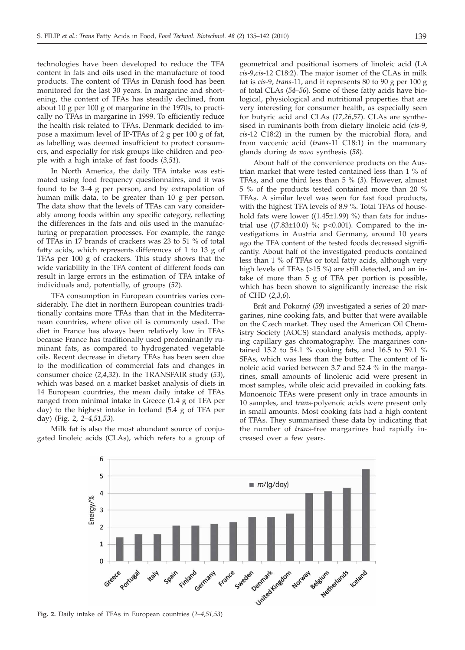technologies have been developed to reduce the TFA content in fats and oils used in the manufacture of food products. The content of TFAs in Danish food has been monitored for the last 30 years. In margarine and shortening, the content of TFAs has steadily declined, from about 10 g per 100 g of margarine in the 1970s, to practically no TFAs in margarine in 1999. To efficiently reduce the health risk related to TFAs, Denmark decided to impose a maximum level of IP-TFAs of 2 g per 100 g of fat, as labelling was deemed insufficient to protect consumers, and especially for risk groups like children and people with a high intake of fast foods (*3,51*).

In North America, the daily TFA intake was estimated using food frequency questionnaires, and it was found to be 3–4 g per person, and by extrapolation of human milk data, to be greater than 10 g per person. The data show that the levels of TFAs can vary considerably among foods within any specific category, reflecting the differences in the fats and oils used in the manufacturing or preparation processes. For example, the range of TFAs in 17 brands of crackers was 23 to 51 % of total fatty acids, which represents differences of 1 to 13 g of TFAs per 100 g of crackers. This study shows that the wide variability in the TFA content of different foods can result in large errors in the estimation of TFA intake of individuals and, potentially, of groups (*52*).

TFA consumption in European countries varies considerably. The diet in northern European countries traditionally contains more TFAs than that in the Mediterranean countries, where olive oil is commonly used. The diet in France has always been relatively low in TFAs because France has traditionally used predominantly ruminant fats, as compared to hydrogenated vegetable oils. Recent decrease in dietary TFAs has been seen due to the modification of commercial fats and changes in consumer choice (*2,4,32*). In the TRANSFAIR study (*53*), which was based on a market basket analysis of diets in 14 European countries, the mean daily intake of TFAs ranged from minimal intake in Greece (1.4 g of TFA per day) to the highest intake in Iceland (5.4 g of TFA per day) (Fig. 2, *2–4,51,53*).

Milk fat is also the most abundant source of conjugated linoleic acids (CLAs), which refers to a group of geometrical and positional isomers of linoleic acid (LA *cis*-9,*cis*-12 C18:2). The major isomer of the CLAs in milk fat is *cis*-9, *trans*-11, and it represents 80 to 90 g per 100 g of total CLAs (*54–56*). Some of these fatty acids have biological, physiological and nutritional properties that are very interesting for consumer health, as especially seen for butyric acid and CLAs (*17,26,57*). CLAs are synthesised in ruminants both from dietary linoleic acid (*cis*-9, *cis*-12 C18:2) in the rumen by the microbial flora, and from vaccenic acid (*trans*-11 C18:1) in the mammary glands during *de novo* synthesis (*58*).

About half of the convenience products on the Austrian market that were tested contained less than 1 % of TFAs, and one third less than 5 % (*3*). However, almost 5 % of the products tested contained more than 20 % TFAs. A similar level was seen for fast food products, with the highest TFA levels of 8.9 %. Total TFAs of household fats were lower  $((1.45\pm1.99)$  %) than fats for industrial use  $((7.83 \pm 10.0)$  %; p<0.001). Compared to the investigations in Austria and Germany, around 10 years ago the TFA content of the tested foods decreased significantly. About half of the investigated products contained less than 1 % of TFAs or total fatty acids, although very high levels of TFAs (>15 %) are still detected, and an intake of more than 5 g of TFA per portion is possible, which has been shown to significantly increase the risk of CHD (*2,3,6*).

Brát and Pokorný (*59*) investigated a series of 20 margarines, nine cooking fats, and butter that were available on the Czech market. They used the American Oil Chemistry Society (AOCS) standard analysis methods, applying capillary gas chromatography. The margarines contained 15.2 to 54.1 % cooking fats, and 16.5 to 59.1 % SFAs, which was less than the butter. The content of linoleic acid varied between 3.7 and 52.4 % in the margarines, small amounts of linolenic acid were present in most samples, while oleic acid prevailed in cooking fats. Monoenoic TFAs were present only in trace amounts in 10 samples, and *trans*-polyenoic acids were present only in small amounts. Most cooking fats had a high content of TFAs. They summarised these data by indicating that the number of *trans*-free margarines had rapidly increased over a few years.



**Fig. 2.** Daily intake of TFAs in European countries (*2–4,51,53*)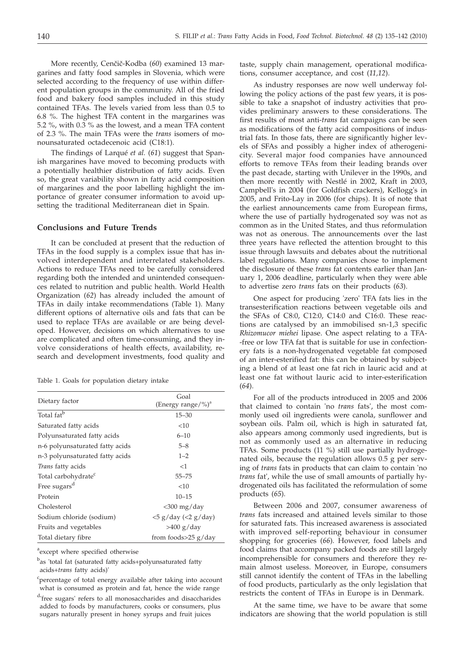More recently, Cenčič-Kodba (60) examined 13 margarines and fatty food samples in Slovenia, which were selected according to the frequency of use within different population groups in the community. All of the fried food and bakery food samples included in this study contained TFAs. The levels varied from less than 0.5 to 6.8 %. The highest TFA content in the margarines was 5.2 %, with 0.3 % as the lowest, and a mean TFA content of 2.3 %. The main TFAs were the *trans* isomers of monounsaturated octadecenoic acid (C18:1).

The findings of Larqué *et al.* (*61*) suggest that Spanish margarines have moved to becoming products with a potentially healthier distribution of fatty acids. Even so, the great variability shown in fatty acid composition of margarines and the poor labelling highlight the importance of greater consumer information to avoid upsetting the traditional Mediterranean diet in Spain.

## **Conclusions and Future Trends**

It can be concluded at present that the reduction of TFAs in the food supply is a complex issue that has involved interdependent and interrelated stakeholders. Actions to reduce TFAs need to be carefully considered regarding both the intended and unintended consequences related to nutrition and public health. World Health Organization (*62*) has already included the amount of TFAs in daily intake recommendations (Table 1). Many different options of alternative oils and fats that can be used to replace TFAs are available or are being developed. However, decisions on which alternatives to use are complicated and often time-consuming, and they involve considerations of health effects, availability, research and development investments, food quality and

Table 1. Goals for population dietary intake

| Dietary factor                  | Goal<br>(Energy range/%) <sup>a</sup> |
|---------------------------------|---------------------------------------|
| Total fat <sup>b</sup>          | $15 - 30$                             |
| Saturated fatty acids           | <10                                   |
| Polyunsaturated fatty acids     | $6 - 10$                              |
| n-6 polyunsaturated fatty acids | $5 - 8$                               |
| n-3 polyunsaturated fatty acids | $1 - 2$                               |
| Trans fatty acids               | $<$ 1                                 |
| Total carbohydrate <sup>c</sup> | $55 - 75$                             |
| Free sugars <sup>d</sup>        | < 10                                  |
| Protein                         | $10 - 15$                             |
| Cholesterol                     | $<$ 300 mg/day                        |
| Sodium chloride (sodium)        | $<$ 5 g/day ( $<$ 2 g/day)            |
| Fruits and vegetables           | $>400$ g/day                          |
| Total dietary fibre             | from foods $>25$ g/day                |

<sup>a</sup> except where specified otherwise

<sup>b</sup>as 'total fat (saturated fatty acids+polyunsaturated fatty acids+*trans* fatty acids)'

taste, supply chain management, operational modifications, consumer acceptance, and cost (*11,12*).

As industry responses are now well underway following the policy actions of the past few years, it is possible to take a snapshot of industry activities that provides preliminary answers to these considerations. The first results of most anti-*trans* fat campaigns can be seen as modifications of the fatty acid compositions of industrial fats. In those fats, there are significantly higher levels of SFAs and possibly a higher index of atherogenicity. Several major food companies have announced efforts to remove TFAs from their leading brands over the past decade, starting with Unilever in the 1990s, and then more recently with Nestlé in 2002, Kraft in 2003, Campbell's in 2004 (for Goldfish crackers), Kellogg's in 2005, and Frito-Lay in 2006 (for chips). It is of note that the earliest announcements came from European firms, where the use of partially hydrogenated soy was not as common as in the United States, and thus reformulation was not as onerous. The announcements over the last three years have reflected the attention brought to this issue through lawsuits and debates about the nutritional label regulations. Many companies chose to implement the disclosure of these *trans* fat contents earlier than January 1, 2006 deadline, particularly when they were able to advertise zero *trans* fats on their products (*63*).

One aspect for producing 'zero' TFA fats lies in the transesterification reactions between vegetable oils and the SFAs of C8:0, C12:0, C14:0 and C16:0. These reactions are catalysed by an immobilised sn-1,3 specific *Rhizomucor miehei* lipase. One aspect relating to a TFA- -free or low TFA fat that is suitable for use in confectionery fats is a non-hydrogenated vegetable fat composed of an inter-esterified fat: this can be obtained by subjecting a blend of at least one fat rich in lauric acid and at least one fat without lauric acid to inter-esterification (*64*).

For all of the products introduced in 2005 and 2006 that claimed to contain 'no *trans* fats', the most commonly used oil ingredients were canola, sunflower and soybean oils. Palm oil, which is high in saturated fat, also appears among commonly used ingredients, but is not as commonly used as an alternative in reducing TFAs. Some products (11 %) still use partially hydrogenated oils, because the regulation allows 0.5 g per serving of *trans* fats in products that can claim to contain 'no *trans* fat', while the use of small amounts of partially hydrogenated oils has facilitated the reformulation of some products (*65*).

Between 2006 and 2007, consumer awareness of *trans* fats increased and attained levels similar to those for saturated fats. This increased awareness is associated with improved self-reporting behaviour in consumer shopping for groceries (*66*). However, food labels and food claims that accompany packed foods are still largely incomprehensible for consumers and therefore they remain almost useless. Moreover, in Europe, consumers still cannot identify the content of TFAs in the labelling of food products, particularly as the only legislation that restricts the content of TFAs in Europe is in Denmark.

At the same time, we have to be aware that some indicators are showing that the world population is still

<sup>&</sup>lt;sup>c</sup>percentage of total energy available after taking into account what is consumed as protein and fat, hence the wide range

<sup>&</sup>lt;sup>d</sup>'free sugars' refers to all monosaccharides and disaccharides added to foods by manufacturers, cooks or consumers, plus sugars naturally present in honey syrups and fruit juices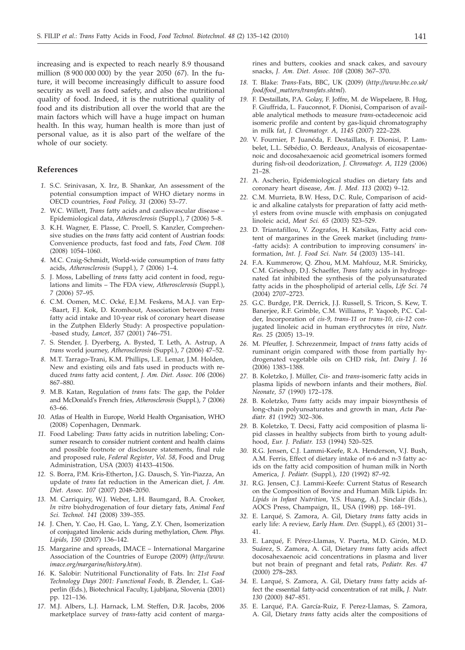increasing and is expected to reach nearly 8.9 thousand million (8 900 000 000) by the year 2050 (*67*). In the future, it will become increasingly difficult to assure food security as well as food safety, and also the nutritional quality of food. Indeed, it is the nutritional quality of food and its distribution all over the world that are the main factors which will have a huge impact on human health. In this way, human health is more than just of personal value, as it is also part of the welfare of the whole of our society.

## **References**

- *1.* S.C. Srinivasan, X. Irz, B. Shankar, An assessment of the potential consumption impact of WHO dietary norms in OECD countries, *Food Policy, 31* (2006) 53–77.
- *2.* W.C. Willett, *Trans* fatty acids and cardiovascular disease Epidemiological data, *Atherosclerosis* (Suppl*.*), *7* (2006) 5–8.
- *3.* K.H. Wagner, E. Plasse, C. Proell, S. Kanzler, Comprehensive studies on the *trans* fatty acid content of Austrian foods: Convenience products, fast food and fats, *Food Chem. 108* (2008) 1054–1060.
- *4.* M.C. Craig-Schmidt, World-wide consumption of *trans* fatty acids, *Atherosclerosis* (Suppl*.*), *7* (2006) 1–4.
- *5.* J. Moss, Labelling of *trans* fatty acid content in food, regulations and limits – The FDA view, *Atherosclerosis* (Suppl*.*), *7* (2006) 57–95.
- *6.* C.M. Oomen, M.C. Ocké, E.J.M. Feskens, M.A.J. van Erp- -Baart, F.J. Kok, D. Kromhout, Association between *trans* fatty acid intake and 10-year risk of coronary heart disease in the Zutphen Elderly Study: A prospective population- -based study, *Lancet, 357* (2001) 746–751.
- *7.* S. Stender, J. Dyerberg, A. Bysted, T. Leth, A. Astrup, A *trans* world journey, *Atherosclerosis* (Suppl*.*), *7* (2006) 47–52.
- *8.* M.T. Tarrago-Trani, K.M. Phillips, L.E. Lemar, J.M. Holden, New and existing oils and fats used in products with reduced *trans* fatty acid content, *J. Am. Diet. Assoc. 106* (2006) 867–880.
- *9.* M.B. Katan, Regulation of *trans* fats: The gap, the Polder and McDonald's French fries, *Atherosclerosis* (Suppl*.*), *7* (2006) 63–66.
- *10.* Atlas of Health in Europe, World Health Organisation, WHO (2008) Copenhagen, Denmark.
- *11.* Food Labeling: *Trans* fatty acids in nutrition labeling; Consumer research to consider nutrient content and health claims and possible footnote or disclosure statements, final rule and proposed rule, *Federal Register*, *Vol. 58*, Food and Drug Administration, USA (2003) 41433–41506.
- *12.* S. Borra, P.M. Kris-Etherton, J.G. Dausch, S. Yin-Piazza, An update of *trans* fat reduction in the American diet, *J. Am. Diet. Assoc. 107* (2007) 2048–2050.
- *13.* M. Carriquiry, W.J. Weber, L.H. Baumgard, B.A. Crooker, *In vitro* biohydrogenation of four dietary fats, *Animal Feed Sci. Technol. 141* (2008) 339–355.
- *14.* J. Chen, Y. Cao, H. Gao, L. Yang, Z.Y. Chen, Isomerization of conjugated linolenic acids during methylation, *Chem. Phys. Lipids, 150* (2007) 136–142.
- *15.* Margarine and spreads, IMACE International Margarine Association of the Countries of Europe (2009) (*http://www. imace.org/margarine/history.htm*).
- *16.* K. Salobir: Nutritional Functionality of Fats. In: *21st Food Technology Days 2001: Functional Foods, B. Žlender, L. Gaš*perlin (Eds.), Biotechnical Faculty, Ljubljana, Slovenia (2001) pp. 121–136.
- *17.* M.J. Albers, L.J. Harnack, L.M. Steffen, D.R. Jacobs, 2006 marketplace survey of *trans*-fatty acid content of marga-

rines and butters, cookies and snack cakes, and savoury snacks, *J. Am. Diet. Assoc. 108* (2008) 367–370.

- *18.* T. Blake: *Trans*-Fats, BBC, UK (2009) (*http://www.bbc.co.uk/ food/food\_matters/transfats.shtml*).
- *19.* F. Destaillats, P.A. Golay, F. Joffre, M. de Wispelaere, B. Hug, F. Giuffrida, L. Fauconnot, F. Dionisi, Comparison of available analytical methods to measure *trans-*octadecenoic acid isomeric profile and content by gas-liquid chromatography in milk fat, *J. Chromatogr. A, 1145* (2007) 222–228.
- *20.* V. Fournier, P. Juanéda, F. Destaillats, F. Dionisi, P. Lambelet, L.L. Sébédio, O. Berdeaux, Analysis of eicosapentaenoic and docosahexaenoic acid geometrical isomers formed during fish-oil deodorization, *J. Chromatogr. A, 1129* (2006) 21–28.
- *21.* A. Ascherio, Epidemiological studies on dietary fats and coronary heart disease, *Am. J. Med. 113* (2002) 9–12.
- *22.* C.M. Murrieta, B.W. Hess, D.C. Rule, Comparison of acidic and alkaline catalysts for preparation of fatty acid methyl esters from ovine muscle with emphasis on conjugated linoleic acid, *Meat Sci. 65* (2003) 523–529.
- *23.* D. Triantafillou, V. Zografos, H. Katsikas, Fatty acid content of margarines in the Greek market (including *trans*- -fatty acids): A contribution to improving consumers' information, *Int. J. Food Sci. Nutr. 54* (2003) 135–141.
- *24.* F.A. Kummerow, Q. Zhou, M.M. Mahfouz, M.R. Smiricky, C.M. Grieshop, D.J. Schaeffer, *Trans* fatty acids in hydrogenated fat inhibited the synthesis of the polyunsaturated fatty acids in the phospholipid of arterial cells, *Life Sci. 74* (2004) 2707–2723.
- *25.* G.C. Burdge, P.R. Derrick, J.J. Russell, S. Tricon, S. Kew, T. Banerjee, R.F. Grimble, C.M. Williams, P. Yaqoob, P.C. Calder, Incorporation of *cis-9, trans-11* or *trans-10, cis-12* conjugated linoleic acid in human erythrocytes *in vivo*, *Nutr. Res. 25* (2005) 13–19.
- *26.* M. Pfeuffer, J. Schrezenmeir, Impact of *trans* fatty acids of ruminant origin compared with those from partially hydrogenated vegetable oils on CHD risk, *Int. Dairy J. 16* (2006) 1383–1388.
- *27.* B. Koletzko, J. Müller, *Cis* and *trans*-isomeric fatty acids in plasma lipids of newborn infants and their mothers, *Biol. Neonate, 57* (1990) 172–178.
- *28.* B. Koletzko, *Trans* fatty acids may impair biosynthesis of long-chain polyunsaturates and growth in man, *Acta Paediatr. 81* (1992) 302–306.
- *29.* B. Koletzko, T. Decsi, Fatty acid composition of plasma lipid classes in healthy subjects from birth to young adulthood, *Eur. J. Pediatr. 153* (1994) 520–525.
- *30.* R.G. Jensen, C.J. Lammi-Keefe, R.A. Henderson, V.J. Bush, A.M. Ferris, Effect of dietary intake of n-6 and n-3 fatty acids on the fatty acid composition of human milk in North America*, J. Pediatr.* (Suppl*.*), *120* (1992) 87–92.
- *31.* R.G. Jensen, C.J. Lammi-Keefe: Current Status of Research on the Composition of Bovine and Human Milk Lipids. In: *Lipids in Infant Nutrition,* Y.S. Huang, A.J. Sinclair (Eds.), AOCS Press, Champaign, IL, USA (1998) pp. 168–191.
- *32.* E. Larqué, S. Zamora, A. Gil, Dietary *trans* fatty acids in early life: A review, *Early Hum. Dev.* (Suppl.), *65* (2001) 31– 41.
- *33.* E. Larqué, F. Pérez-Llamas, V. Puerta, M.D. Girón, M.D. Suárez, S. Zamora, A. Gil, Dietary *trans* fatty acids affect docosahexaenoic acid concentrations in plasma and liver but not brain of pregnant and fetal rats, *Pediatr. Res. 47* (2000) 278–283.
- *34.* E. Larqué, S. Zamora, A. Gil, Dietary *trans* fatty acids affect the essential fatty-acid concentration of rat milk, *J. Nutr. 130* (2000) 847–851.
- *35.* E. Larqué, P.A. García-Ruiz, F. Perez-Llamas, S. Zamora, A. Gil, Dietary *trans* fatty acids alter the compositions of